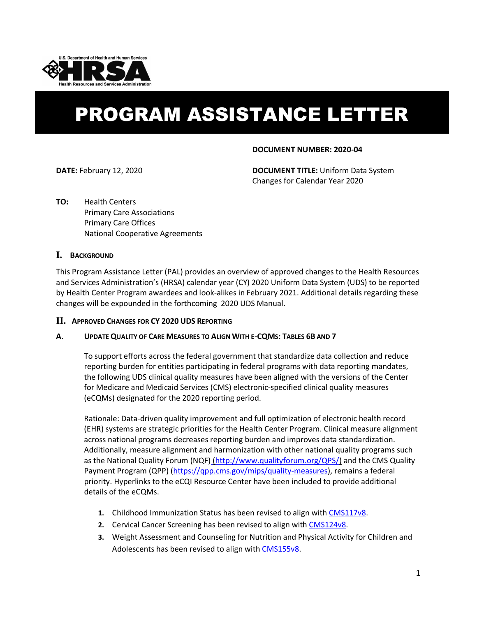

# PROGRAM ASSISTANCE LETTER

# **DOCUMENT NUMBER: 2020-04**

**DATE:** February 12, 2020 **DOCUMENT TITLE:** Uniform Data System Changes for Calendar Year 2020

**TO:** Health Centers Primary Care Associations Primary Care Offices National Cooperative Agreements

# **I. BACKGROUND**

This Program Assistance Letter (PAL) provides an overview of approved changes to the Health Resources and Services Administration's (HRSA) calendar year (CY) 2020 Uniform Data System (UDS) to be reported by Health Center Program awardees and look-alikes in February 2021. Additional details regarding these changes will be expounded in the forthcoming 2020 UDS Manual.

# **II. APPROVED CHANGES FOR CY 2020 UDS REPORTING**

# **A. UPDATE QUALITY OF CARE MEASURES TO ALIGN WITH E-CQMS: TABLES 6B AND 7**

To support efforts across the federal government that standardize data collection and reduce reporting burden for entities participating in federal programs with data reporting mandates, the following UDS clinical quality measures have been aligned with the versions of the Center for Medicare and Medicaid Services (CMS) electronic-specified clinical quality measures (eCQMs) designated for the 2020 reporting period.

Rationale: Data-driven quality improvement and full optimization of electronic health record (EHR) systems are strategic priorities for the Health Center Program. Clinical measure alignment across national programs decreases reporting burden and improves data standardization. Additionally, measure alignment and harmonization with other national quality programs such as the [National Quality Forum \(NQF\)](http://www.qualityforum.org/QPS/) [\(http://www.qualityforum.org/QPS/\)](http://www.qualityforum.org/QPS/) and the [CMS](https://qpp.cms.gov/mips/quality-measures) Quality Payment Program (QPP) [\(https://qpp.cms.gov/mips/quality-measures\)](https://qpp.cms.gov/mips/quality-measures), remains a federal priority. Hyperlinks to the eCQI Resource Center have been included to provide additional details of the eCQMs.

- **1.** Childhood Immunization Status has been revised to align wit[h CMS117v8.](https://ecqi.healthit.gov/ecqm/measures/cms117v8)
- **2.** Cervical Cancer Screening has been revised to align with [CMS124v8.](https://ecqi.healthit.gov/ecqm/measures/cms124v8)
- **3.** Weight Assessment and Counseling for Nutrition and Physical Activity for Children and Adolescents has been revised to align wit[h CMS155v8.](https://ecqi.healthit.gov/ecqm/measures/cms155v8)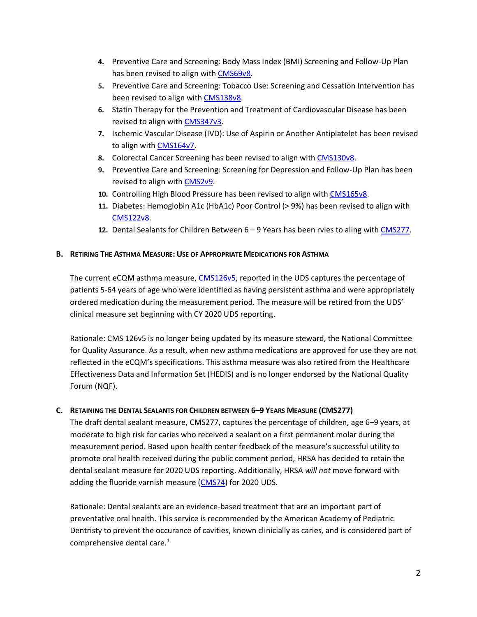- **4.** Preventive Care and Screening: Body Mass Index (BMI) Screening and Follow-Up Plan has been revised to align wit[h CMS69v8.](https://ecqi.healthit.gov/ecqm/measures/cms69v8)
- **5.** Preventive Care and Screening: Tobacco Use: Screening and Cessation Intervention has been revised to align with [CMS138v8.](https://ecqi.healthit.gov/ecqm/measures/cms138v8)
- **6.** Statin Therapy for the Prevention and Treatment of Cardiovascular Disease has been revised to align with [CMS347v3.](https://ecqi.healthit.gov/ecqm/measures/cms347v3)
- **7.** Ischemic Vascular Disease (IVD): Use of Aspirin or Another Antiplatelet has been revised to align with [CMS164v7.](https://protect2.fireeye.com/url?k=8791777f-dbc56e03-87914640-0cc47adc5fa2-177c756bfb746c7a&u=https://ecqi.healthit.gov/ecqm/ep/2019/cms164v7)
- **8.** Colorectal Cancer Screening has been revised to align with [CMS130v8.](https://ecqi.healthit.gov/ecqm/measures/cms130v8)
- **9.** Preventive Care and Screening: Screening for Depression and Follow-Up Plan has been revised to align with [CMS2v9.](https://ecqi.healthit.gov/ecqm/measures/cms2v9)
- **10.** Controlling High Blood Pressure has been revised to align with [CMS165v8.](https://ecqi.healthit.gov/ecqm/measures/cms165v8)
- **11.** Diabetes: Hemoglobin A1c (HbA1c) Poor Control (> 9%) has been revised to align with [CMS122v8.](https://ecqi.healthit.gov/ecqm/measures/cms122v8)
- **12.** Dental Sealants for Children Between 6 9 Years has been rvies to aling with [CMS277.](https://ushik.ahrq.gov/QualityMeasuresListing?draft=true&system=dcqm&sortField=570&sortDirection=ascending&enableAsynchronousLoading=true)

# **B. RETIRING THE ASTHMA MEASURE: USE OF APPROPRIATE MEDICATIONS FOR ASTHMA**

The current eCQM asthma measure, [CMS126v5,](https://cmit.cms.gov/CMIT_public/ViewMeasure?MeasureId=5780#tab1) reported in the UDS captures the percentage of patients 5-64 years of age who were identified as having persistent asthma and were appropriately ordered medication during the measurement period. The measure will be retired from the UDS' clinical measure set beginning with CY 2020 UDS reporting.

Rationale: CMS 126v5 is no longer being updated by its measure steward, the National Committee for Quality Assurance. As a result, when new asthma medications are approved for use they are not reflected in the eCQM's specifications. This asthma measure was also retired from the Healthcare Effectiveness Data and Information Set (HEDIS) and is no longer endorsed by the National Quality Forum (NQF).

# **C. RETAINING THE DENTAL SEALANTS FOR CHILDREN BETWEEN 6–9 YEARS MEASURE (CMS277)**

The draft dental sealant measure, CMS277, captures the percentage of children, age 6–9 years, at moderate to high risk for caries who received a sealant on a first permanent molar during the measurement period. Based upon health center feedback of the measure's successful utility to promote oral health received during the public comment period, HRSA has decided to retain the dental sealant measure for 2020 UDS reporting. Additionally, HRSA *will not* move forward with adding the fluoride varnish measure [\(CMS74\)](https://ecqi.healthit.gov/ecqm/ep/2020/cms074v9) for 2020 UDS.

Rationale: Dental sealants are an evidence-based treatment that are an important part of preventative oral health. This service is recommended by the American Academy of Pediatric Dentristy to prevent the occurance of cavities, known clinicially as caries, and is considered part of comprehensive dental care.<sup>[1](#page-20-0)</sup>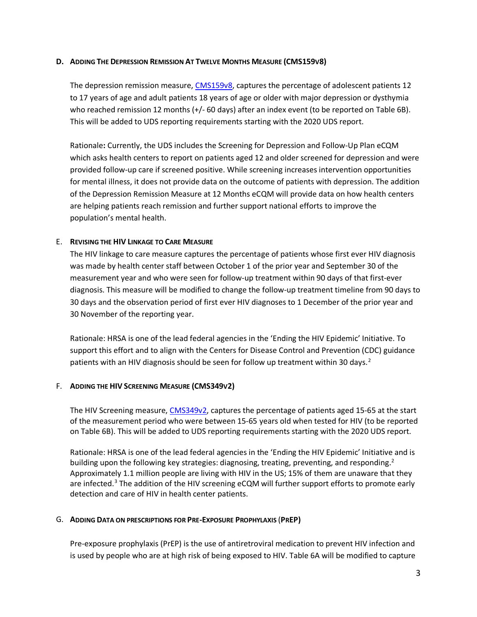# **D. ADDING THE DEPRESSION REMISSION AT TWELVE MONTHS MEASURE (CMS159V8)**

The depression remission measure[, CMS159v8,](https://ecqi.healthit.gov/ecqm/measures/cms159v8) captures the percentage of adolescent patients 12 to 17 years of age and adult patients 18 years of age or older with major depression or dysthymia who reached remission 12 months (+/- 60 days) after an index event (to be reported on Table 6B). This will be added to UDS reporting requirements starting with the 2020 UDS report.

Rationale**:** Currently, the UDS includes the Screening for Depression and Follow-Up Plan eCQM which asks health centers to report on patients aged 12 and older screened for depression and were provided follow-up care if screened positive. While screening increases intervention opportunities for mental illness, it does not provide data on the outcome of patients with depression. The addition of the Depression Remission Measure at 12 Months eCQM will provide data on how health centers are helping patients reach remission and further support national efforts to improve the population's mental health.

## E. **REVISING THE HIV LINKAGE TO CARE MEASURE**

The HIV linkage to care measure captures the percentage of patients whose first ever HIV diagnosis was made by health center staff between October 1 of the prior year and September 30 of the measurement year and who were seen for follow-up treatment within 90 days of that first-ever diagnosis. This measure will be modified to change the follow-up treatment timeline from 90 days to 30 days and the observation period of first ever HIV diagnoses to 1 December of the prior year and 30 November of the reporting year.

Rationale: HRSA is one of the lead federal agencies in the 'Ending the HIV Epidemic' Initiative. To support this effort and to align with the Centers for Disease Control and Prevention (CDC) guidance patients with an HIV diagnosis should be seen for follow up treatment within 30 days.<sup>[2](#page-20-1)</sup>

#### F. **ADDING THE HIV SCREENING MEASURE (CMS349V2)**

The HIV Screening measure, [CMS349v2,](https://ecqi.healthit.gov/ecqm/measures/cms349v2) captures the percentage of patients aged 15-65 at the start of the measurement period who were between 15-65 years old when tested for HIV (to be reported on Table 6B). This will be added to UDS reporting requirements starting with the 2020 UDS report.

Rationale: HRSA is one of the lead federal agencies in the 'Ending the HIV Epidemic' Initiative and is building upon the following key strategies: diagnosing, treating, preventing, and responding.<sup>2</sup> Approximately 1.1 million people are living with HIV in the US; 15% of them are unaware that they are infected.<sup>[3](#page-20-2)</sup> The addition of the HIV screening eCQM will further support efforts to promote early detection and care of HIV in health center patients.

#### G. **ADDING DATA ON PRESCRIPTIONS FOR PRE-EXPOSURE PROPHYLAXIS** (**PREP)**

Pre-exposure prophylaxis (PrEP) is the use of antiretroviral medication to prevent HIV infection and is used by people who are at high risk of being exposed to HIV. Table 6A will be modified to capture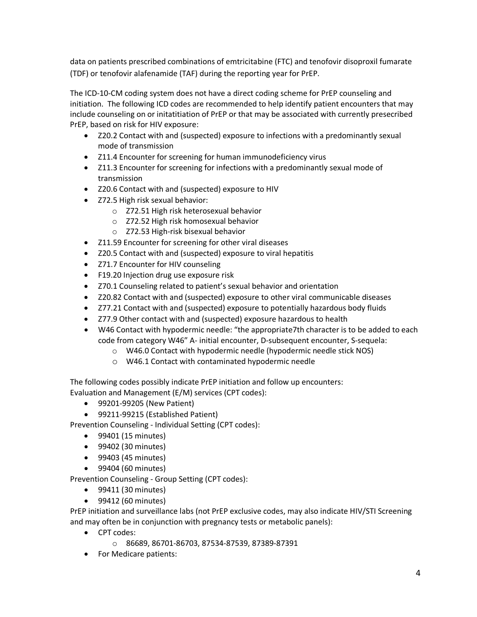data on patients prescribed combinations of emtricitabine (FTC) and tenofovir disoproxil fumarate (TDF) or tenofovir alafenamide (TAF) during the reporting year for PrEP.

The ICD-10-CM coding system does not have a direct coding scheme for PrEP counseling and initiation. The following ICD codes are recommended to help identify patient encounters that may include counseling on or initatitiation of PrEP or that may be associated with currently presecribed PrEP, based on risk for HIV exposure:

- Z20.2 Contact with and (suspected) exposure to infections with a predominantly sexual mode of transmission
- Z11.4 Encounter for screening for human immunodeficiency virus
- Z11.3 Encounter for screening for infections with a predominantly sexual mode of transmission
- Z20.6 Contact with and (suspected) exposure to HIV
- Z72.5 High risk sexual behavior:
	- Z72.51 High risk heterosexual behavior
	- Z72.52 High risk homosexual behavior
	- Z72.53 High-risk bisexual behavior
- Z11.59 Encounter for screening for other viral diseases
- Z20.5 Contact with and (suspected) exposure to viral hepatitis
- Z71.7 Encounter for HIV counseling
- F19.20 Injection drug use exposure risk
- Z70.1 Counseling related to patient's sexual behavior and orientation
- Z20.82 Contact with and (suspected) exposure to other viral communicable diseases
- Z77.21 Contact with and (suspected) exposure to potentially hazardous body fluids
- Z77.9 Other contact with and (suspected) exposure hazardous to health
- W46 Contact with hypodermic needle: "the appropriate7th character is to be added to each code from category W46" A- initial encounter, D-subsequent encounter, S-sequela:
	- W46.0 Contact with hypodermic needle (hypodermic needle stick NOS)
	- W46.1 Contact with contaminated hypodermic needle

The following codes possibly indicate PrEP initiation and follow up encounters: Evaluation and Management (E/M) services (CPT codes):

- 99201-99205 (New Patient)
- 99211-99215 (Established Patient)

Prevention Counseling - Individual Setting (CPT codes):

- 99401 (15 minutes)
- 99402 (30 minutes)
- 99403 (45 minutes)
- 99404 (60 minutes)

Prevention Counseling - Group Setting (CPT codes):

- 99411 (30 minutes)
- 99412 (60 minutes)

PrEP initiation and surveillance labs (not PrEP exclusive codes, may also indicate HIV/STI Screening and may often be in conjunction with pregnancy tests or metabolic panels):

- CPT codes:
	- 86689, 86701-86703, 87534-87539, 87389-87391
- For Medicare patients: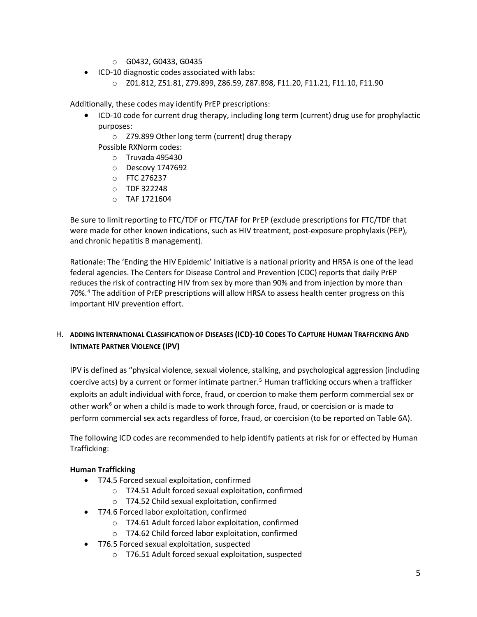- G0432, G0433, G0435
- ICD-10 diagnostic codes associated with labs:
	- Z01.812, Z51.81, Z79.899, Z86.59, Z87.898, F11.20, F11.21, F11.10, F11.90

Additionally, these codes may identify PrEP prescriptions:

- ICD-10 code for current drug therapy, including long term (current) drug use for prophylactic purposes:
	- Z79.899 Other long term (current) drug therapy

Possible RXNorm codes:

- Truvada 495430
- Descovy 1747692
- FTC 276237
- TDF 322248
- $\circ$  TAF 1721604

Be sure to limit reporting to FTC/TDF or FTC/TAF for PrEP (exclude prescriptions for FTC/TDF that were made for other known indications, such as HIV treatment, post-exposure prophylaxis (PEP), and chronic hepatitis B management).

Rationale: The 'Ending the HIV Epidemic' Initiative is a national priority and HRSA is one of the lead federal agencies. The Centers for Disease Control and Prevention (CDC) reports that daily PrEP reduces the risk of contracting HIV from sex by more than 90% and from injection by more than 70%.[4](#page-20-3) The addition of PrEP prescriptions will allow HRSA to assess health center progress on this important HIV prevention effort.

# H. **ADDING INTERNATIONAL CLASSIFICATION OF DISEASES (ICD)-10 CODES TO CAPTURE HUMAN TRAFFICKING AND INTIMATE PARTNER VIOLENCE (IPV)**

IPV is defined as "physical violence, sexual violence, stalking, and psychological aggression (including coercive acts) by a current or former intimate partner.<sup>[5](#page-20-4)</sup> Human trafficking occurs when a trafficker exploits an adult individual with force, fraud, or coercion to make them perform commercial sex or other work<sup>[6](#page-20-5)</sup> or when a child is made to work through force, fraud, or coercision or is made to perform commercial sex acts regardless of force, fraud, or coercision (to be reported on Table 6A).

The following ICD codes are recommended to help identify patients at risk for or effected by Human Trafficking:

# **Human Trafficking**

- T74.5 Forced sexual exploitation, confirmed
	- T74.51 Adult forced sexual exploitation, confirmed
	- T74.52 Child sexual exploitation, confirmed
- T74.6 Forced labor exploitation, confirmed
	- T74.61 Adult forced labor exploitation, confirmed
	- T74.62 Child forced labor exploitation, confirmed
- T76.5 Forced sexual exploitation, suspected
	- T76.51 Adult forced sexual exploitation, suspected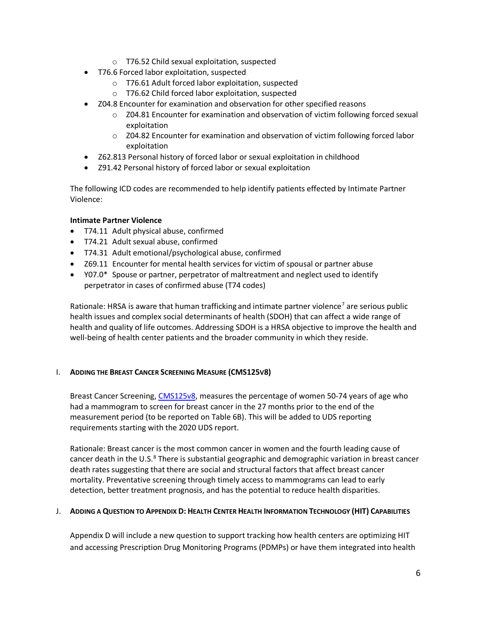- T76.52 Child sexual exploitation, suspected
- T76.6 Forced labor exploitation, suspected
	- T76.61 Adult forced labor exploitation, suspected
	- T76.62 Child forced labor exploitation, suspected
- Z04.8 Encounter for examination and observation for other specified reasons
	- Z04.81 Encounter for examination and observation of victim following forced sexual exploitation
	- Z04.82 Encounter for examination and observation of victim following forced labor exploitation
- Z62.813 Personal history of forced labor or sexual exploitation in childhood
- Z91.42 Personal history of forced labor or sexual exploitation

The following ICD codes are recommended to help identify patients effected by Intimate Partner Violence:

# **Intimate Partner Violence**

- T74.11 Adult physical abuse, confirmed
- T74.21 Adult sexual abuse, confirmed
- T74.31 Adult emotional/psychological abuse, confirmed
- Z69.11 Encounter for mental health services for victim of spousal or partner abuse
- Y07.0\* Spouse or partner, perpetrator of maltreatment and neglect used to identify perpetrator in cases of confirmed abuse (T74 codes)

Rationale: HRSA is aware that human trafficking and intimate partner violence<sup>[7](#page-20-6)</sup> are serious public health issues and complex social determinants of health (SDOH) that can affect a wide range of health and quality of life outcomes. Addressing SDOH is a HRSA objective to improve the health and well-being of health center patients and the broader community in which they reside.

# I. **ADDING THE BREAST CANCER SCREENING MEASURE (CMS125V8)**

Breast Cancer Screening, [CMS125v8,](https://ecqi.healthit.gov/ecqm/measures/cms125v8) measures the percentage of women 50-74 years of age who had a mammogram to screen for breast cancer in the 27 months prior to the end of the measurement period (to be reported on Table 6B). This will be added to UDS reporting requirements starting with the 2020 UDS report.

Rationale: Breast cancer is the most common cancer in women and the fourth leading cause of cancer death in the U.S. $^8$  $^8$  There is substantial geographic and demographic variation in breast cancer death rates suggesting that there are social and structural factors that affect breast cancer mortality. Preventative screening through timely access to mammograms can lead to early detection, better treatment prognosis, and has the potential to reduce health disparities.

# J. **ADDING A QUESTION TO APPENDIX D: HEALTH CENTER HEALTH INFORMATION TECHNOLOGY (HIT) CAPABILITIES**

Appendix D will include a new question to support tracking how health centers are optimizing HIT and accessing Prescription Drug Monitoring Programs (PDMPs) or have them integrated into health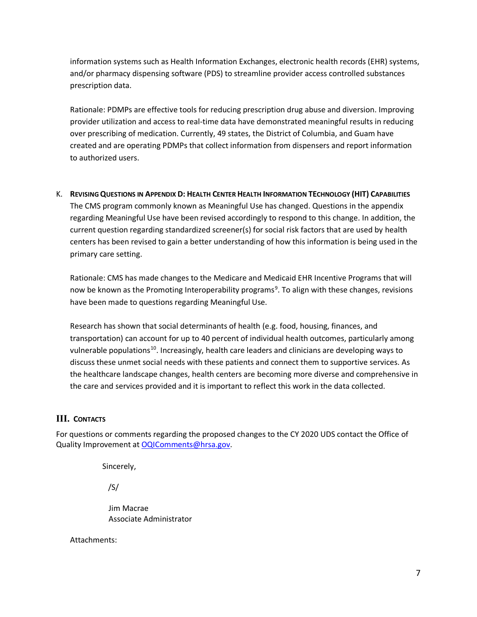information systems such as Health Information Exchanges, electronic health records (EHR) systems, and/or pharmacy dispensing software (PDS) to streamline provider access controlled substances prescription data.

Rationale: PDMPs are effective tools for reducing prescription drug abuse and diversion. Improving provider utilization and access to real-time data have demonstrated meaningful results in reducing over prescribing of medication. Currently, 49 states, the District of Columbia, and Guam have created and are operating PDMPs that collect information from dispensers and report information to authorized users.

K. **REVISINGQUESTIONS IN APPENDIX D: HEALTH CENTER HEALTH INFORMATION TECHNOLOGY (HIT) CAPABILITIES** The CMS program commonly known as Meaningful Use has changed. Questions in the appendix regarding Meaningful Use have been revised accordingly to respond to this change. In addition, the current question regarding standardized screener(s) for social risk factors that are used by health centers has been revised to gain a better understanding of how this information is being used in the primary care setting.

Rationale: CMS has made changes to the Medicare and Medicaid EHR Incentive Programs that will now be known as the Promoting Interoperability programs<sup>[9](#page-20-8)</sup>. To align with these changes, revisions have been made to questions regarding Meaningful Use.

Research has shown that social determinants of health (e.g. food, housing, finances, and transportation) can account for up to 40 percent of individual health outcomes, particularly among vulnerable populations<sup>10</sup>. Increasingly, health care leaders and clinicians are developing ways to discuss these unmet social needs with these patients and connect them to supportive services. As the healthcare landscape changes, health centers are becoming more diverse and comprehensive in the care and services provided and it is important to reflect this work in the data collected.

# **III. CONTACTS**

For questions or comments regarding the proposed changes to the CY 2020 UDS contact the Office of Quality Improvement a[t OQIComments@hrsa.gov.](mailto:OQIComments@hrsa.gov)

Sincerely,

/S/

Jim Macrae Associate Administrator

Attachments: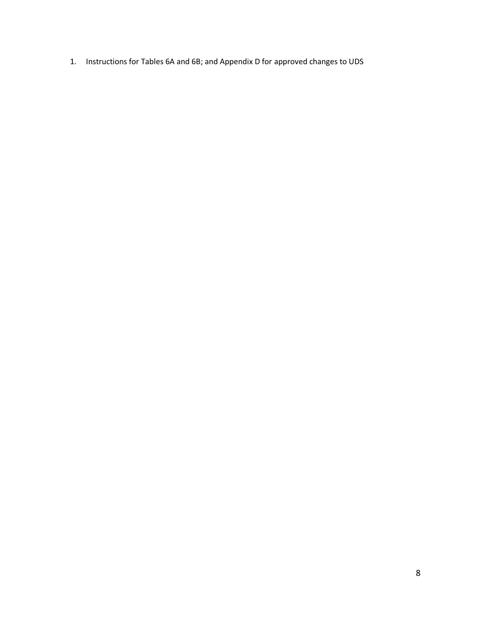1. Instructions for Tables 6A and 6B; and Appendix D for approved changes to UDS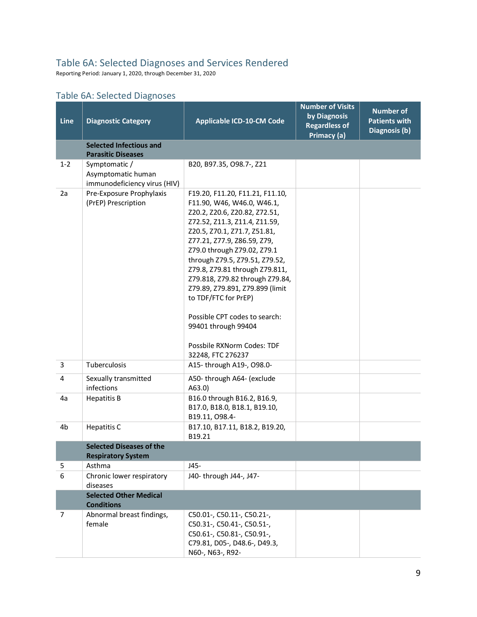# Table 6A: Selected Diagnoses and Services Rendered

Reporting Period: January 1, 2020, through December 31, 2020

# Table 6A: Selected Diagnoses

| Line           | <b>Diagnostic Category</b>                                          | <b>Applicable ICD-10-CM Code</b>                                                                                                                                                                                                                                                                                                                                                                                                                                                                           | <b>Number of Visits</b><br>by Diagnosis<br><b>Regardless of</b><br>Primacy (a) | <b>Number of</b><br><b>Patients with</b><br>Diagnosis (b) |
|----------------|---------------------------------------------------------------------|------------------------------------------------------------------------------------------------------------------------------------------------------------------------------------------------------------------------------------------------------------------------------------------------------------------------------------------------------------------------------------------------------------------------------------------------------------------------------------------------------------|--------------------------------------------------------------------------------|-----------------------------------------------------------|
|                | <b>Selected Infectious and</b><br><b>Parasitic Diseases</b>         |                                                                                                                                                                                                                                                                                                                                                                                                                                                                                                            |                                                                                |                                                           |
| $1 - 2$        | Symptomatic /<br>Asymptomatic human<br>immunodeficiency virus (HIV) | B20, B97.35, O98.7-, Z21                                                                                                                                                                                                                                                                                                                                                                                                                                                                                   |                                                                                |                                                           |
| 2a             | Pre-Exposure Prophylaxis<br>(PrEP) Prescription                     | F19.20, F11.20, F11.21, F11.10,<br>F11.90, W46, W46.0, W46.1,<br>Z20.2, Z20.6, Z20.82, Z72.51,<br>Z72.52, Z11.3, Z11.4, Z11.59,<br>Z20.5, Z70.1, Z71.7, Z51.81,<br>Z77.21, Z77.9, Z86.59, Z79,<br>Z79.0 through Z79.02, Z79.1<br>through Z79.5, Z79.51, Z79.52,<br>Z79.8, Z79.81 through Z79.811,<br>Z79.818, Z79.82 through Z79.84,<br>Z79.89, Z79.891, Z79.899 (limit<br>to TDF/FTC for PrEP)<br>Possible CPT codes to search:<br>99401 through 99404<br>Possbile RXNorm Codes: TDF<br>32248, FTC 276237 |                                                                                |                                                           |
| 3              | Tuberculosis                                                        | A15- through A19-, O98.0-                                                                                                                                                                                                                                                                                                                                                                                                                                                                                  |                                                                                |                                                           |
| 4              | Sexually transmitted<br>infections                                  | A50-through A64- (exclude<br>A63.0)                                                                                                                                                                                                                                                                                                                                                                                                                                                                        |                                                                                |                                                           |
| 4a             | <b>Hepatitis B</b>                                                  | B16.0 through B16.2, B16.9,<br>B17.0, B18.0, B18.1, B19.10,<br>B19.11, O98.4-                                                                                                                                                                                                                                                                                                                                                                                                                              |                                                                                |                                                           |
| 4b             | Hepatitis C                                                         | B17.10, B17.11, B18.2, B19.20,<br>B19.21                                                                                                                                                                                                                                                                                                                                                                                                                                                                   |                                                                                |                                                           |
|                | <b>Selected Diseases of the</b><br><b>Respiratory System</b>        |                                                                                                                                                                                                                                                                                                                                                                                                                                                                                                            |                                                                                |                                                           |
| 5              | Asthma                                                              | J45-                                                                                                                                                                                                                                                                                                                                                                                                                                                                                                       |                                                                                |                                                           |
| 6              | Chronic lower respiratory<br>diseases                               | J40- through J44-, J47-                                                                                                                                                                                                                                                                                                                                                                                                                                                                                    |                                                                                |                                                           |
|                | <b>Selected Other Medical</b><br><b>Conditions</b>                  |                                                                                                                                                                                                                                                                                                                                                                                                                                                                                                            |                                                                                |                                                           |
| $\overline{7}$ | Abnormal breast findings,<br>female                                 | C50.01-, C50.11-, C50.21-,<br>C50.31-, C50.41-, C50.51-,<br>C50.61-, C50.81-, C50.91-,<br>C79.81, D05-, D48.6-, D49.3,<br>N60-, N63-, R92-                                                                                                                                                                                                                                                                                                                                                                 |                                                                                |                                                           |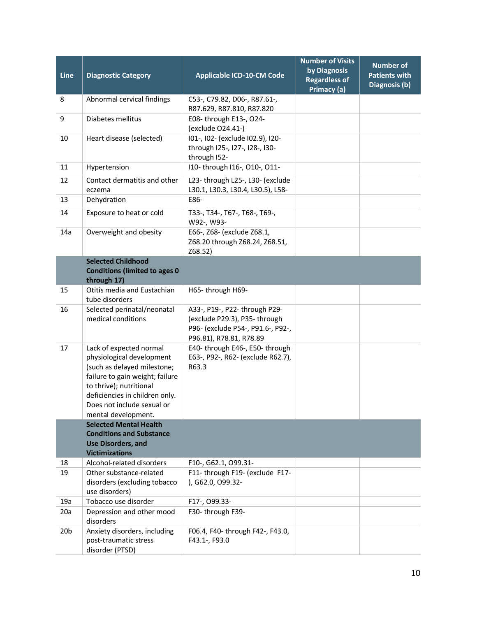| Line            | <b>Diagnostic Category</b>                                                                                                                                                                                                               | <b>Applicable ICD-10-CM Code</b>                                                                                              | <b>Number of Visits</b><br>by Diagnosis<br><b>Regardless of</b><br>Primacy (a) | <b>Number of</b><br><b>Patients with</b><br>Diagnosis (b) |
|-----------------|------------------------------------------------------------------------------------------------------------------------------------------------------------------------------------------------------------------------------------------|-------------------------------------------------------------------------------------------------------------------------------|--------------------------------------------------------------------------------|-----------------------------------------------------------|
| 8               | Abnormal cervical findings                                                                                                                                                                                                               | C53-, C79.82, D06-, R87.61-,<br>R87.629, R87.810, R87.820                                                                     |                                                                                |                                                           |
| 9               | Diabetes mellitus                                                                                                                                                                                                                        | E08- through E13-, O24-<br>(exclude O24.41-)                                                                                  |                                                                                |                                                           |
| 10              | Heart disease (selected)                                                                                                                                                                                                                 | I01-, I02- (exclude I02.9), I20-<br>through I25-, I27-, I28-, I30-<br>through I52-                                            |                                                                                |                                                           |
| 11              | Hypertension                                                                                                                                                                                                                             | I10- through I16-, O10-, O11-                                                                                                 |                                                                                |                                                           |
| 12              | Contact dermatitis and other<br>eczema                                                                                                                                                                                                   | L23- through L25-, L30- (exclude<br>L30.1, L30.3, L30.4, L30.5), L58-                                                         |                                                                                |                                                           |
| 13              | Dehydration                                                                                                                                                                                                                              | E86-                                                                                                                          |                                                                                |                                                           |
| 14              | Exposure to heat or cold                                                                                                                                                                                                                 | ТЗЗ-, ТЗ4-, Т67-, Т68-, Т69-,<br>W92-, W93-                                                                                   |                                                                                |                                                           |
| 14a             | Overweight and obesity                                                                                                                                                                                                                   | E66-, Z68- (exclude Z68.1,<br>Z68.20 through Z68.24, Z68.51,<br>Z68.52)                                                       |                                                                                |                                                           |
|                 | <b>Selected Childhood</b><br><b>Conditions (limited to ages 0</b>                                                                                                                                                                        |                                                                                                                               |                                                                                |                                                           |
|                 | through 17)<br>Otitis media and Eustachian                                                                                                                                                                                               |                                                                                                                               |                                                                                |                                                           |
| 15              | tube disorders                                                                                                                                                                                                                           | H65-through H69-                                                                                                              |                                                                                |                                                           |
| 16              | Selected perinatal/neonatal<br>medical conditions                                                                                                                                                                                        | A33-, P19-, P22- through P29-<br>(exclude P29.3), P35-through<br>P96- (exclude P54-, P91.6-, P92-,<br>P96.81), R78.81, R78.89 |                                                                                |                                                           |
| 17              | Lack of expected normal<br>physiological development<br>(such as delayed milestone;<br>failure to gain weight; failure<br>to thrive); nutritional<br>deficiencies in children only.<br>Does not include sexual or<br>mental development. | E40- through E46-, E50- through<br>E63-, P92-, R62- (exclude R62.7),<br>R63.3                                                 |                                                                                |                                                           |
|                 | <b>Selected Mental Health</b><br><b>Conditions and Substance</b><br><b>Use Disorders, and</b><br><b>Victimizations</b>                                                                                                                   |                                                                                                                               |                                                                                |                                                           |
| 18              | Alcohol-related disorders                                                                                                                                                                                                                | F10-, G62.1, O99.31-                                                                                                          |                                                                                |                                                           |
| 19              | Other substance-related<br>disorders (excluding tobacco<br>use disorders)                                                                                                                                                                | F11- through F19- (exclude F17-<br>), G62.0, O99.32-                                                                          |                                                                                |                                                           |
| 19a             | Tobacco use disorder                                                                                                                                                                                                                     | F17-, 099.33-                                                                                                                 |                                                                                |                                                           |
| 20a             | Depression and other mood<br>disorders                                                                                                                                                                                                   | F30-through F39-                                                                                                              |                                                                                |                                                           |
| 20 <sub>b</sub> | Anxiety disorders, including<br>post-traumatic stress<br>disorder (PTSD)                                                                                                                                                                 | F06.4, F40- through F42-, F43.0,<br>F43.1-, F93.0                                                                             |                                                                                |                                                           |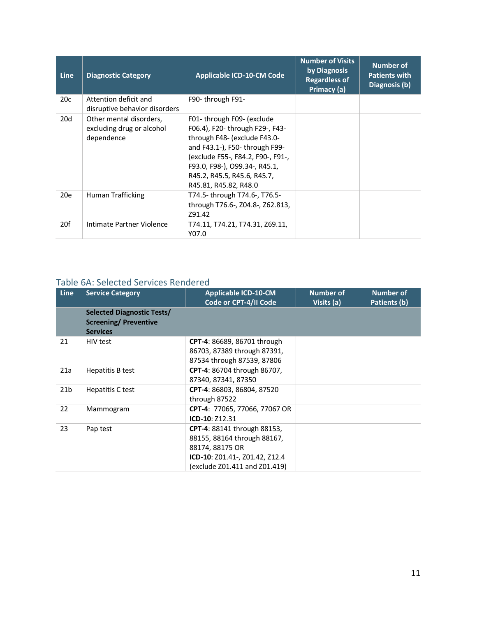| <b>Line</b> | <b>Diagnostic Category</b>                                         | <b>Applicable ICD-10-CM Code</b>                                                                                                                                                                                                                              | <b>Number of Visits</b><br>by Diagnosis<br><b>Regardless of</b><br>Primacy (a) | <b>Number of</b><br><b>Patients with</b><br>Diagnosis (b) |
|-------------|--------------------------------------------------------------------|---------------------------------------------------------------------------------------------------------------------------------------------------------------------------------------------------------------------------------------------------------------|--------------------------------------------------------------------------------|-----------------------------------------------------------|
| 20c         | Attention deficit and<br>disruptive behavior disorders             | F90-through F91-                                                                                                                                                                                                                                              |                                                                                |                                                           |
| 20d         | Other mental disorders,<br>excluding drug or alcohol<br>dependence | F01- through F09- (exclude<br>F06.4), F20- through F29-, F43-<br>through F48- (exclude F43.0-<br>and F43.1-), F50- through F99-<br>(exclude F55-, F84.2, F90-, F91-,<br>F93.0, F98-), O99.34-, R45.1,<br>R45.2, R45.5, R45.6, R45.7,<br>R45.81, R45.82, R48.0 |                                                                                |                                                           |
| 20e         | Human Trafficking                                                  | T74.5-through T74.6-, T76.5-<br>through T76.6-, Z04.8-, Z62.813,<br>791.42                                                                                                                                                                                    |                                                                                |                                                           |
| 20f         | Intimate Partner Violence                                          | T74.11, T74.21, T74.31, Z69.11,<br>Y07.0                                                                                                                                                                                                                      |                                                                                |                                                           |

# Table 6A: Selected Services Rendered

| <b>Line</b>     | <b>Service Category</b>                                                              | <b>Applicable ICD-10-CM</b><br>Code or CPT-4/II Code                                                                                                    | <b>Number of</b><br>Visits (a) | <b>Number of</b><br>Patients (b) |
|-----------------|--------------------------------------------------------------------------------------|---------------------------------------------------------------------------------------------------------------------------------------------------------|--------------------------------|----------------------------------|
|                 | <b>Selected Diagnostic Tests/</b><br><b>Screening/ Preventive</b><br><b>Services</b> |                                                                                                                                                         |                                |                                  |
| 21              | HIV test                                                                             | <b>CPT-4: 86689, 86701 through</b><br>86703, 87389 through 87391,<br>87534 through 87539, 87806                                                         |                                |                                  |
| 21a             | Hepatitis B test                                                                     | CPT-4: 86704 through 86707,<br>87340, 87341, 87350                                                                                                      |                                |                                  |
| 21 <sub>b</sub> | Hepatitis C test                                                                     | CPT-4: 86803, 86804, 87520<br>through 87522                                                                                                             |                                |                                  |
| 22              | Mammogram                                                                            | CPT-4: 77065, 77066, 77067 OR<br>ICD-10: Z12.31                                                                                                         |                                |                                  |
| 23              | Pap test                                                                             | <b>CPT-4: 88141 through 88153,</b><br>88155, 88164 through 88167,<br>88174, 88175 OR<br>ICD-10: Z01.41-, Z01.42, Z12.4<br>(exclude Z01.411 and Z01.419) |                                |                                  |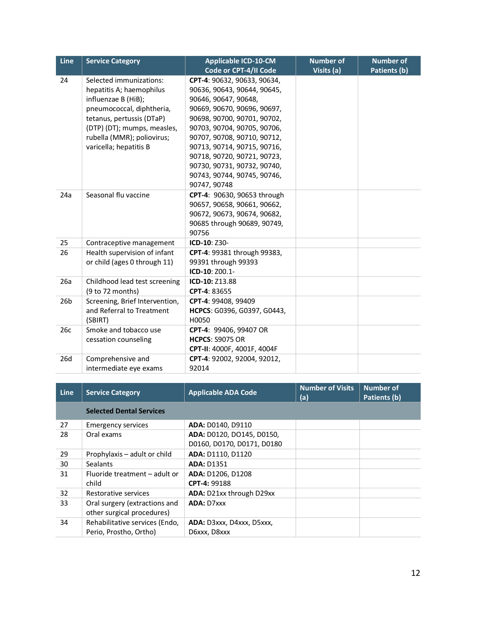| <b>Line</b>     | <b>Service Category</b>        | <b>Applicable ICD-10-CM</b> | <b>Number of</b> | <b>Number of</b> |
|-----------------|--------------------------------|-----------------------------|------------------|------------------|
|                 |                                | Code or CPT-4/II Code       | Visits (a)       | Patients (b)     |
| 24              | Selected immunizations:        | CPT-4: 90632, 90633, 90634, |                  |                  |
|                 | hepatitis A; haemophilus       | 90636, 90643, 90644, 90645, |                  |                  |
|                 | influenzae B (HiB);            | 90646, 90647, 90648,        |                  |                  |
|                 | pneumococcal, diphtheria,      | 90669, 90670, 90696, 90697, |                  |                  |
|                 | tetanus, pertussis (DTaP)      | 90698, 90700, 90701, 90702, |                  |                  |
|                 | (DTP) (DT); mumps, measles,    | 90703, 90704, 90705, 90706, |                  |                  |
|                 | rubella (MMR); poliovirus;     | 90707, 90708, 90710, 90712, |                  |                  |
|                 | varicella; hepatitis B         | 90713, 90714, 90715, 90716, |                  |                  |
|                 |                                | 90718, 90720, 90721, 90723, |                  |                  |
|                 |                                | 90730, 90731, 90732, 90740, |                  |                  |
|                 |                                | 90743, 90744, 90745, 90746, |                  |                  |
|                 |                                | 90747, 90748                |                  |                  |
| 24a             | Seasonal flu vaccine           | CPT-4: 90630, 90653 through |                  |                  |
|                 |                                | 90657, 90658, 90661, 90662, |                  |                  |
|                 |                                | 90672, 90673, 90674, 90682, |                  |                  |
|                 |                                | 90685 through 90689, 90749, |                  |                  |
|                 |                                | 90756                       |                  |                  |
| 25              | Contraceptive management       | ICD-10: Z30-                |                  |                  |
| 26              | Health supervision of infant   | CPT-4: 99381 through 99383, |                  |                  |
|                 | or child (ages 0 through 11)   | 99391 through 99393         |                  |                  |
|                 |                                | ICD-10: Z00.1-              |                  |                  |
| 26a             | Childhood lead test screening  | ICD-10: Z13.88              |                  |                  |
|                 | (9 to 72 months)               | CPT-4: 83655                |                  |                  |
| 26 <sub>b</sub> | Screening, Brief Intervention, | CPT-4: 99408, 99409         |                  |                  |
|                 | and Referral to Treatment      | HCPCS: G0396, G0397, G0443, |                  |                  |
|                 | (SBIRT)                        | H0050                       |                  |                  |
| 26c             | Smoke and tobacco use          | CPT-4: 99406, 99407 OR      |                  |                  |
|                 | cessation counseling           | <b>HCPCS: S9075 OR</b>      |                  |                  |
|                 |                                | CPT-II: 4000F, 4001F, 4004F |                  |                  |
| 26d             | Comprehensive and              | CPT-4: 92002, 92004, 92012, |                  |                  |
|                 | intermediate eye exams         | 92014                       |                  |                  |

| <b>Line</b> | <b>Service Category</b>         | <b>Applicable ADA Code</b> | <b>Number of Visits</b><br>(a) | <b>Number of</b><br>Patients (b) |
|-------------|---------------------------------|----------------------------|--------------------------------|----------------------------------|
|             | <b>Selected Dental Services</b> |                            |                                |                                  |
| 27          | <b>Emergency services</b>       | ADA: D0140, D9110          |                                |                                  |
| 28          | Oral exams                      | ADA: D0120, DO145, D0150,  |                                |                                  |
|             |                                 | D0160, D0170, D0171, D0180 |                                |                                  |
| 29          | Prophylaxis – adult or child    | ADA: D1110, D1120          |                                |                                  |
| 30          | <b>Sealants</b>                 | <b>ADA: D1351</b>          |                                |                                  |
| 31          | Fluoride treatment - adult or   | ADA: D1206, D1208          |                                |                                  |
|             | child                           | CPT-4: 99188               |                                |                                  |
| 32          | Restorative services            | ADA: D21xx through D29xx   |                                |                                  |
| 33          | Oral surgery (extractions and   | <b>ADA: D7xxx</b>          |                                |                                  |
|             | other surgical procedures)      |                            |                                |                                  |
| 34          | Rehabilitative services (Endo,  | ADA: D3xxx, D4xxx, D5xxx,  |                                |                                  |
|             | Perio, Prostho, Ortho)          | D6xxx, D8xxx               |                                |                                  |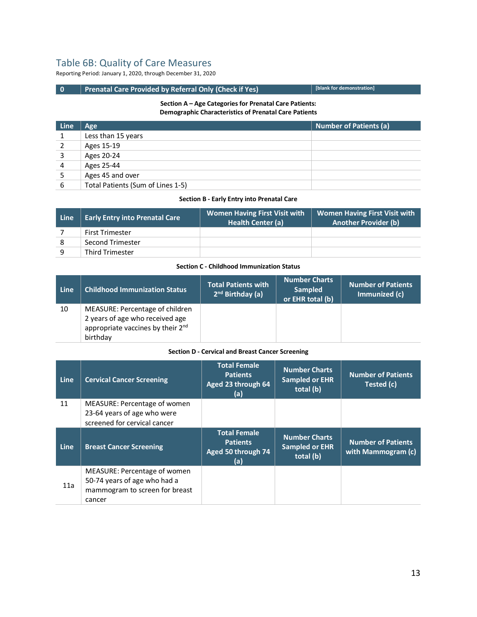# Table 6B: Quality of Care Measures

Reporting Period: January 1, 2020, through December 31, 2020

# **0** Prenatal Care Provided by Referral Only (Check if Yes) **[blank for demonstration**]

#### **Section A – Age Categories for Prenatal Care Patients: Demographic Characteristics of Prenatal Care Patients**

| Line | <b>Age</b>                        | <b>Number of Patients (a)</b> |
|------|-----------------------------------|-------------------------------|
|      | Less than 15 years                |                               |
| 2    | Ages 15-19                        |                               |
| 3    | Ages 20-24                        |                               |
| 4    | Ages 25-44                        |                               |
|      | Ages 45 and over                  |                               |
| 6    | Total Patients (Sum of Lines 1-5) |                               |

#### **Section B - Early Entry into Prenatal Care**

| <b>Line</b> | <b>Early Entry into Prenatal Care</b> | <b>Women Having First Visit with</b><br>Health Center (a) | <b>Women Having First Visit with</b><br><b>Another Provider (b)</b> |
|-------------|---------------------------------------|-----------------------------------------------------------|---------------------------------------------------------------------|
|             | <b>First Trimester</b>                |                                                           |                                                                     |
| 8           | Second Trimester                      |                                                           |                                                                     |
| q           | <b>Third Trimester</b>                |                                                           |                                                                     |

## **Section C - Childhood Immunization Status**

| Line | <b>Childhood Immunization Status</b>                                                                                            | <b>Total Patients with</b><br>2 <sup>nd</sup> Birthday (a) | <b>Number Charts</b><br><b>Sampled</b><br>or EHR total (b) | <b>Number of Patients</b><br>Immunized (c) |
|------|---------------------------------------------------------------------------------------------------------------------------------|------------------------------------------------------------|------------------------------------------------------------|--------------------------------------------|
| 10   | MEASURE: Percentage of children<br>2 years of age who received age<br>appropriate vaccines by their 2 <sup>nd</sup><br>birthday |                                                            |                                                            |                                            |

#### **Section D - Cervical and Breast Cancer Screening**

| <b>Line</b> | <b>Cervical Cancer Screening</b>                                                                         | <b>Total Female</b><br><b>Patients</b><br>Aged 23 through 64<br>(a) | <b>Number Charts</b><br><b>Sampled or EHR</b><br>total (b) | <b>Number of Patients</b><br>Tested (c)         |
|-------------|----------------------------------------------------------------------------------------------------------|---------------------------------------------------------------------|------------------------------------------------------------|-------------------------------------------------|
| 11          | MEASURE: Percentage of women<br>23-64 years of age who were<br>screened for cervical cancer              |                                                                     |                                                            |                                                 |
| <b>Line</b> | <b>Breast Cancer Screening</b>                                                                           | <b>Total Female</b><br><b>Patients</b><br>Aged 50 through 74<br>(a) | <b>Number Charts</b><br><b>Sampled or EHR</b><br>total (b) | <b>Number of Patients</b><br>with Mammogram (c) |
| 11a         | MEASURE: Percentage of women<br>50-74 years of age who had a<br>mammogram to screen for breast<br>cancer |                                                                     |                                                            |                                                 |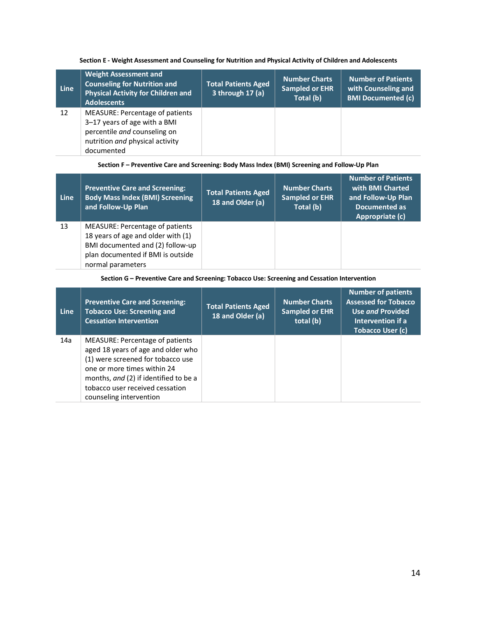## **Section E - Weight Assessment and Counseling for Nutrition and Physical Activity of Children and Adolescents**

| <b>Line</b> | <b>Weight Assessment and</b><br><b>Counseling for Nutrition and</b><br><b>Physical Activity for Children and</b><br><b>Adolescents</b>           | <b>Total Patients Aged</b><br>3 through $17(a)$ | <b>Number Charts</b><br><b>Sampled or EHR</b><br>Total (b) | <b>Number of Patients</b><br>with Counseling and<br><b>BMI Documented (c)</b> |
|-------------|--------------------------------------------------------------------------------------------------------------------------------------------------|-------------------------------------------------|------------------------------------------------------------|-------------------------------------------------------------------------------|
| 12          | MEASURE: Percentage of patients<br>3-17 years of age with a BMI<br>percentile and counseling on<br>nutrition and physical activity<br>documented |                                                 |                                                            |                                                                               |

### **Section F – Preventive Care and Screening: Body Mass Index (BMI) Screening and Follow-Up Plan**

| <b>Line</b> | <b>Preventive Care and Screening:</b><br><b>Body Mass Index (BMI) Screening</b><br>and Follow-Up Plan                                                               | <b>Total Patients Aged</b><br>18 and Older (a) | <b>Number Charts</b><br><b>Sampled or EHR</b><br>Total (b) | <b>Number of Patients</b><br>with BMI Charted<br>and Follow-Up Plan<br>Documented as<br>Appropriate (c) |
|-------------|---------------------------------------------------------------------------------------------------------------------------------------------------------------------|------------------------------------------------|------------------------------------------------------------|---------------------------------------------------------------------------------------------------------|
| 13          | MEASURE: Percentage of patients<br>18 years of age and older with (1)<br>BMI documented and (2) follow-up<br>plan documented if BMI is outside<br>normal parameters |                                                |                                                            |                                                                                                         |

# **Section G – Preventive Care and Screening: Tobacco Use: Screening and Cessation Intervention**

| <b>Line</b> | <b>Preventive Care and Screening:</b><br><b>Tobacco Use: Screening and</b><br><b>Cessation Intervention</b>                                                                                                                                      | <b>Total Patients Aged</b><br>18 and Older (a) | <b>Number Charts</b><br><b>Sampled or EHR</b><br>total (b) | <b>Number of patients</b><br><b>Assessed for Tobacco</b><br><b>Use and Provided</b><br>Intervention if a<br><b>Tobacco User (c)</b> |
|-------------|--------------------------------------------------------------------------------------------------------------------------------------------------------------------------------------------------------------------------------------------------|------------------------------------------------|------------------------------------------------------------|-------------------------------------------------------------------------------------------------------------------------------------|
| 14a         | MEASURE: Percentage of patients<br>aged 18 years of age and older who<br>(1) were screened for tobacco use<br>one or more times within 24<br>months, and (2) if identified to be a<br>tobacco user received cessation<br>counseling intervention |                                                |                                                            |                                                                                                                                     |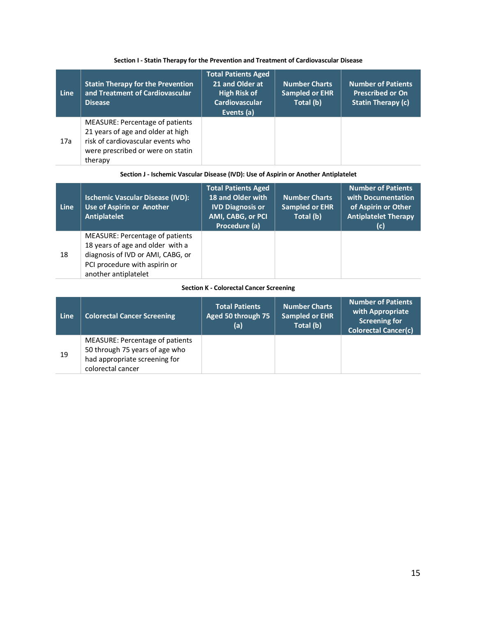| Line | <b>Statin Therapy for the Prevention</b><br>and Treatment of Cardiovascular<br><b>Disease</b>                                                             | <b>Total Patients Aged</b><br>21 and Older at<br><b>High Risk of</b><br><b>Cardiovascular</b><br>Events (a) | <b>Number Charts</b><br><b>Sampled or EHR</b><br>Total (b) | <b>Number of Patients</b><br><b>Prescribed or On</b><br><b>Statin Therapy (c)</b> |
|------|-----------------------------------------------------------------------------------------------------------------------------------------------------------|-------------------------------------------------------------------------------------------------------------|------------------------------------------------------------|-----------------------------------------------------------------------------------|
| 17a  | MEASURE: Percentage of patients<br>21 years of age and older at high<br>risk of cardiovascular events who<br>were prescribed or were on statin<br>therapy |                                                                                                             |                                                            |                                                                                   |

## **Section I - Statin Therapy for the Prevention and Treatment of Cardiovascular Disease**

## **Section J - Ischemic Vascular Disease (IVD): Use of Aspirin or Another Antiplatelet**

| Line | <b>Ischemic Vascular Disease (IVD):</b><br>Use of Aspirin or Another<br>Antiplatelet                                                                              | <b>Total Patients Aged</b><br><b>18 and Older with</b><br><b>IVD Diagnosis or</b><br>AMI, CABG, or PCI<br>Procedure (a) | <b>Number Charts</b><br><b>Sampled or EHR</b><br>Total (b) | <b>Number of Patients</b><br>with Documentation<br>of Aspirin or Other<br><b>Antiplatelet Therapy</b><br>(c) |
|------|-------------------------------------------------------------------------------------------------------------------------------------------------------------------|-------------------------------------------------------------------------------------------------------------------------|------------------------------------------------------------|--------------------------------------------------------------------------------------------------------------|
| 18   | MEASURE: Percentage of patients<br>18 years of age and older with a<br>diagnosis of IVD or AMI, CABG, or<br>PCI procedure with aspirin or<br>another antiplatelet |                                                                                                                         |                                                            |                                                                                                              |

#### **Section K - Colorectal Cancer Screening**

| Line | <b>Colorectal Cancer Screening</b>                                                                                      | <b>Total Patients</b><br>Aged 50 through 75<br>(a) | <b>Number Charts</b><br><b>Sampled or EHR</b><br>Total (b) | <b>Number of Patients</b><br>with Appropriate<br><b>Screening for</b><br><b>Colorectal Cancer(c)</b> |
|------|-------------------------------------------------------------------------------------------------------------------------|----------------------------------------------------|------------------------------------------------------------|------------------------------------------------------------------------------------------------------|
| 19   | MEASURE: Percentage of patients<br>50 through 75 years of age who<br>had appropriate screening for<br>colorectal cancer |                                                    |                                                            |                                                                                                      |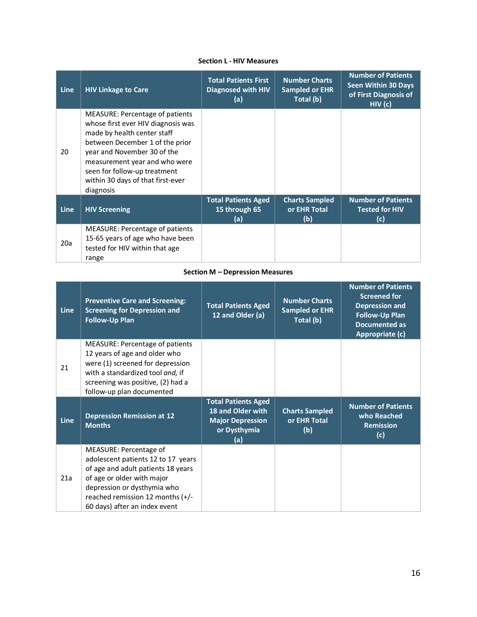# **Section L - HIV Measures**

| <b>Line</b> | <b>HIV Linkage to Care</b>                                                                                                                                                                                                                                                                       | <b>Total Patients First</b><br><b>Diagnosed with HIV</b><br>(a) | <b>Number Charts</b><br><b>Sampled or EHR</b><br>Total (b) | <b>Number of Patients</b><br><b>Seen Within 30 Days</b><br>of First Diagnosis of<br>HIV(C) |
|-------------|--------------------------------------------------------------------------------------------------------------------------------------------------------------------------------------------------------------------------------------------------------------------------------------------------|-----------------------------------------------------------------|------------------------------------------------------------|--------------------------------------------------------------------------------------------|
| 20          | <b>MEASURE: Percentage of patients</b><br>whose first ever HIV diagnosis was<br>made by health center staff<br>between December 1 of the prior<br>year and November 30 of the<br>measurement year and who were<br>seen for follow-up treatment<br>within 30 days of that first-ever<br>diagnosis |                                                                 |                                                            |                                                                                            |
| Line        | <b>HIV Screening</b>                                                                                                                                                                                                                                                                             | <b>Total Patients Aged</b><br>15 through 65<br>(a)              | <b>Charts Sampled</b><br>or EHR Total<br>(b)               | <b>Number of Patients</b><br><b>Tested for HIV</b><br>(c)                                  |
| 20a         | MEASURE: Percentage of patients<br>15-65 years of age who have been<br>tested for HIV within that age<br>range                                                                                                                                                                                   |                                                                 |                                                            |                                                                                            |

## **Section M – Depression Measures**

| <b>Line</b> | <b>Preventive Care and Screening:</b><br><b>Screening for Depression and</b><br><b>Follow-Up Plan</b>                                                                                                      | <b>Total Patients Aged</b><br>12 and Older (a)                                                    | <b>Number Charts</b><br><b>Sampled or EHR</b><br>Total (b) | <b>Number of Patients</b><br><b>Screened for</b><br><b>Depression and</b><br><b>Follow-Up Plan</b><br><b>Documented as</b><br>Appropriate (c) |
|-------------|------------------------------------------------------------------------------------------------------------------------------------------------------------------------------------------------------------|---------------------------------------------------------------------------------------------------|------------------------------------------------------------|-----------------------------------------------------------------------------------------------------------------------------------------------|
| 21          | MEASURE: Percentage of patients<br>12 years of age and older who<br>were (1) screened for depression<br>with a standardized tool and, if<br>screening was positive, (2) had a<br>follow-up plan documented |                                                                                                   |                                                            |                                                                                                                                               |
| <b>Line</b> | <b>Depression Remission at 12</b><br><b>Months</b>                                                                                                                                                         | <b>Total Patients Aged</b><br>18 and Older with<br><b>Major Depression</b><br>or Dysthymia<br>(a) | <b>Charts Sampled</b><br>or EHR Total<br>(b)               | <b>Number of Patients</b><br>who Reached<br><b>Remission</b><br>(c)                                                                           |
| 21a         | MEASURE: Percentage of<br>adolescent patients 12 to 17 years<br>of age and adult patients 18 years<br>of age or older with major<br>depression or dysthymia who<br>reached remission 12 months (+/-        |                                                                                                   |                                                            |                                                                                                                                               |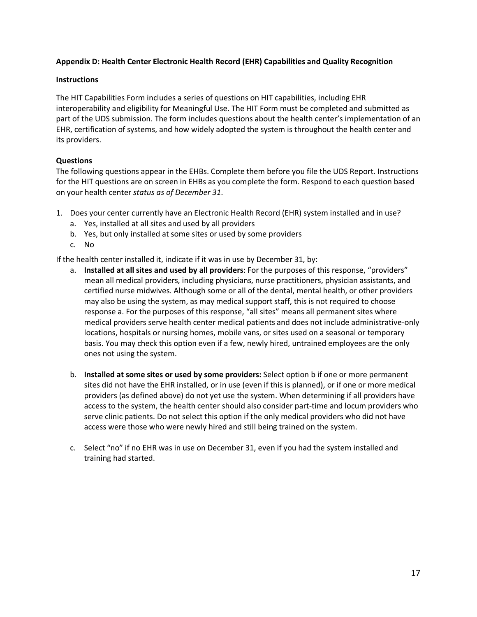# **Appendix D: Health Center Electronic Health Record (EHR) Capabilities and Quality Recognition**

# **Instructions**

The HIT Capabilities Form includes a series of questions on HIT capabilities, including EHR interoperability and eligibility for Meaningful Use. The HIT Form must be completed and submitted as part of the UDS submission. The form includes questions about the health center's implementation of an EHR, certification of systems, and how widely adopted the system is throughout the health center and its providers.

# **Questions**

The following questions appear in the EHBs. Complete them before you file the UDS Report. Instructions for the HIT questions are on screen in EHBs as you complete the form. Respond to each question based on your health center *status as of December 31*.

- 1. Does your center currently have an Electronic Health Record (EHR) system installed and in use?
	- a. Yes, installed at all sites and used by all providers
	- b. Yes, but only installed at some sites or used by some providers
	- c. No

If the health center installed it, indicate if it was in use by December 31, by:

- a. **Installed at all sites and used by all providers**: For the purposes of this response, "providers" mean all medical providers, including physicians, nurse practitioners, physician assistants, and certified nurse midwives. Although some or all of the dental, mental health, or other providers may also be using the system, as may medical support staff, this is not required to choose response a. For the purposes of this response, "all sites" means all permanent sites where medical providers serve health center medical patients and does not include administrative-only locations, hospitals or nursing homes, mobile vans, or sites used on a seasonal or temporary basis. You may check this option even if a few, newly hired, untrained employees are the only ones not using the system.
- b. **Installed at some sites or used by some providers:** Select option b if one or more permanent sites did not have the EHR installed, or in use (even if this is planned), or if one or more medical providers (as defined above) do not yet use the system. When determining if all providers have access to the system, the health center should also consider part-time and locum providers who serve clinic patients. Do not select this option if the only medical providers who did not have access were those who were newly hired and still being trained on the system.
- c. Select "no" if no EHR was in use on December 31, even if you had the system installed and training had started.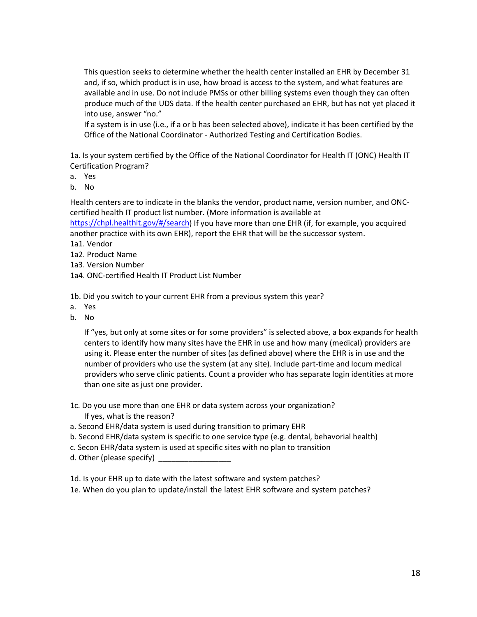This question seeks to determine whether the health center installed an EHR by December 31 and, if so, which product is in use, how broad is access to the system, and what features are available and in use. Do not include PMSs or other billing systems even though they can often produce much of the UDS data. If the health center purchased an EHR, but has not yet placed it into use, answer "no."

If a system is in use (i.e., if a or b has been selected above), indicate it has been certified by the Office of the National Coordinator - Authorized Testing and Certification Bodies.

1a. Is your system certified by the Office of the National Coordinator for Health IT (ONC) Health IT Certification Program?

a. Yes

b. No

Health centers are to indicate in the blanks the vendor, product name, version number, and ONCcertified health IT product list number. (More information is available at

[https://chpl.healthit.gov/#/search\)](https://chpl.healthit.gov/#/search) If you have more than one EHR (if, for example, you acquired another practice with its own EHR), report the EHR that will be the successor system.

- 1a1. Vendor
- 1a2. Product Name
- 1a3. Version Number
- 1a4. ONC-certified Health IT Product List Number

1b. Did you switch to your current EHR from a previous system this year?

- a. Yes
- b. No

If "yes, but only at some sites or for some providers" is selected above, a box expands for health centers to identify how many sites have the EHR in use and how many (medical) providers are using it. Please enter the number of sites (as defined above) where the EHR is in use and the number of providers who use the system (at any site). Include part-time and locum medical providers who serve clinic patients. Count a provider who has separate login identities at more than one site as just one provider.

- 1c. Do you use more than one EHR or data system across your organization? If yes, what is the reason?
- a. Second EHR/data system is used during transition to primary EHR
- b. Second EHR/data system is specific to one service type (e.g. dental, behavorial health)
- c. Secon EHR/data system is used at specific sites with no plan to transition
- d. Other (please specify)

1d. Is your EHR up to date with the latest software and system patches?

1e. When do you plan to update/install the latest EHR software and system patches?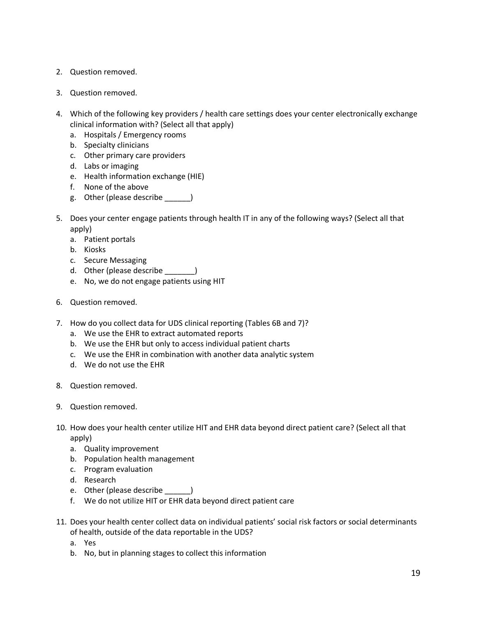- 2. Question removed.
- 3. Question removed.
- 4. Which of the following key providers / health care settings does your center electronically exchange clinical information with? (Select all that apply)
	- a. Hospitals / Emergency rooms
	- b. Specialty clinicians
	- c. Other primary care providers
	- d. Labs or imaging
	- e. Health information exchange (HIE)
	- f. None of the above
	- g. Other (please describe \_\_\_\_\_\_)
- 5. Does your center engage patients through health IT in any of the following ways? (Select all that apply)
	- a. Patient portals
	- b. Kiosks
	- c. Secure Messaging
	- d. Other (please describe )
	- e. No, we do not engage patients using HIT
- 6. Question removed.
- 7. How do you collect data for UDS clinical reporting (Tables 6B and 7)?
	- a. We use the EHR to extract automated reports
	- b. We use the EHR but only to access individual patient charts
	- c. We use the EHR in combination with another data analytic system
	- d. We do not use the EHR
- 8. Question removed.
- 9. Question removed.
- 10. How does your health center utilize HIT and EHR data beyond direct patient care? (Select all that apply)
	- a. Quality improvement
	- b. Population health management
	- c. Program evaluation
	- d. Research
	- e. Other (please describe \_\_\_\_\_\_\_)
	- f. We do not utilize HIT or EHR data beyond direct patient care
- 11. Does your health center collect data on individual patients' social risk factors or social determinants of health, outside of the data reportable in the UDS?
	- a. Yes
	- b. No, but in planning stages to collect this information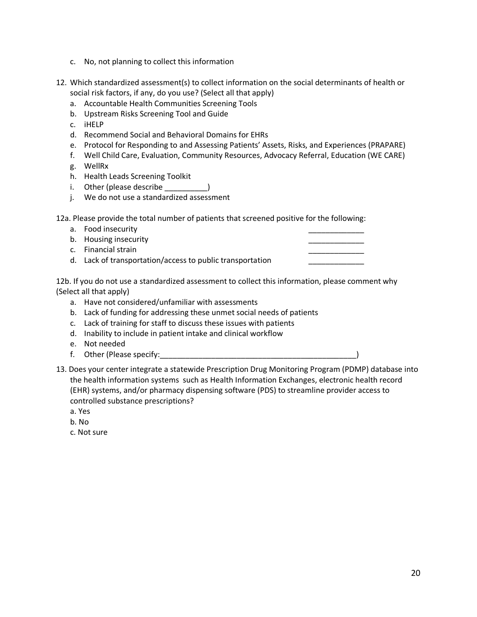- c. No, not planning to collect this information
- 12. Which standardized assessment(s) to collect information on the social determinants of health or social risk factors, if any, do you use? (Select all that apply)
	- a. Accountable Health Communities Screening Tools
	- b. Upstream Risks Screening Tool and Guide
	- c. iHELP
	- d. Recommend Social and Behavioral Domains for EHRs
	- e. Protocol for Responding to and Assessing Patients' Assets, Risks, and Experiences (PRAPARE)
	- f. Well Child Care, Evaluation, Community Resources, Advocacy Referral, Education (WE CARE)
	- g. WellRx
	- h. Health Leads Screening Toolkit
	- i. Other (please describe \_\_\_\_\_\_\_\_\_\_)
	- j. We do not use a standardized assessment

12a. Please provide the total number of patients that screened positive for the following:

- a. Food insecurity
- b. Housing insecurity
- c. Financial strain
- d. Lack of transportation/access to public transportation

12b. If you do not use a standardized assessment to collect this information, please comment why (Select all that apply)

- a. Have not considered/unfamiliar with assessments
- b. Lack of funding for addressing these unmet social needs of patients
- c. Lack of training for staff to discuss these issues with patients
- d. Inability to include in patient intake and clinical workflow
- e. Not needed
- f. Other (Please specify: The set of the set of the set of the set of the set of the set of the set of the set o
- 13. Does your center integrate a statewide Prescription Drug Monitoring Program (PDMP) database into the health information systems such as Health Information Exchanges, electronic health record (EHR) systems, and/or pharmacy dispensing software (PDS) to streamline provider access to controlled substance prescriptions?
	- a. Yes
	- b. No
	- c. Not sure